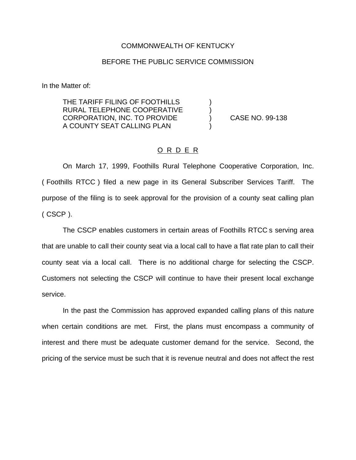## COMMONWEALTH OF KENTUCKY

## BEFORE THE PUBLIC SERVICE COMMISSION

In the Matter of:

THE TARIFF FILING OF FOOTHILLS ) RURAL TELEPHONE COOPERATIVE CORPORATION, INC. TO PROVIDE ) CASE NO. 99-138 A COUNTY SEAT CALLING PLAN )

## O R D E R

On March 17, 1999, Foothills Rural Telephone Cooperative Corporation, Inc. ( Foothills RTCC ) filed a new page in its General Subscriber Services Tariff. The purpose of the filing is to seek approval for the provision of a county seat calling plan ( CSCP ).

The CSCP enables customers in certain areas of Foothills RTCC s serving area that are unable to call their county seat via a local call to have a flat rate plan to call their county seat via a local call. There is no additional charge for selecting the CSCP. Customers not selecting the CSCP will continue to have their present local exchange service.

In the past the Commission has approved expanded calling plans of this nature when certain conditions are met. First, the plans must encompass a community of interest and there must be adequate customer demand for the service. Second, the pricing of the service must be such that it is revenue neutral and does not affect the rest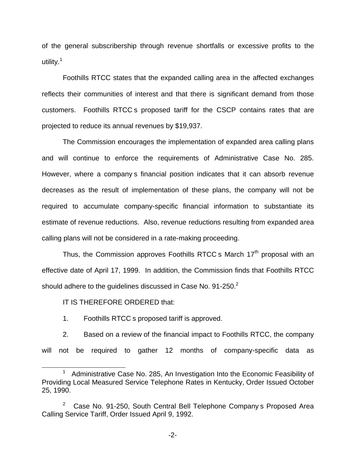of the general subscribership through revenue shortfalls or excessive profits to the utility. $<sup>1</sup>$ </sup>

Foothills RTCC states that the expanded calling area in the affected exchanges reflects their communities of interest and that there is significant demand from those customers. Foothills RTCC s proposed tariff for the CSCP contains rates that are projected to reduce its annual revenues by \$19,937.

The Commission encourages the implementation of expanded area calling plans and will continue to enforce the requirements of Administrative Case No. 285. However, where a company s financial position indicates that it can absorb revenue decreases as the result of implementation of these plans, the company will not be required to accumulate company-specific financial information to substantiate its estimate of revenue reductions. Also, revenue reductions resulting from expanded area calling plans will not be considered in a rate-making proceeding.

Thus, the Commission approves Foothills RTCC s March  $17<sup>th</sup>$  proposal with an effective date of April 17, 1999. In addition, the Commission finds that Foothills RTCC should adhere to the guidelines discussed in Case No. 91-250.<sup>2</sup>

IT IS THEREFORE ORDERED that:

1. Foothills RTCC s proposed tariff is approved.

2. Based on a review of the financial impact to Foothills RTCC, the company will not be required to gather 12 months of company-specific data as

-2-

<sup>&</sup>lt;sup>1</sup> Administrative Case No. 285, An Investigation Into the Economic Feasibility of Providing Local Measured Service Telephone Rates in Kentucky, Order Issued October 25, 1990.

<sup>&</sup>lt;sup>2</sup> Case No. 91-250, South Central Bell Telephone Company s Proposed Area Calling Service Tariff, Order Issued April 9, 1992.